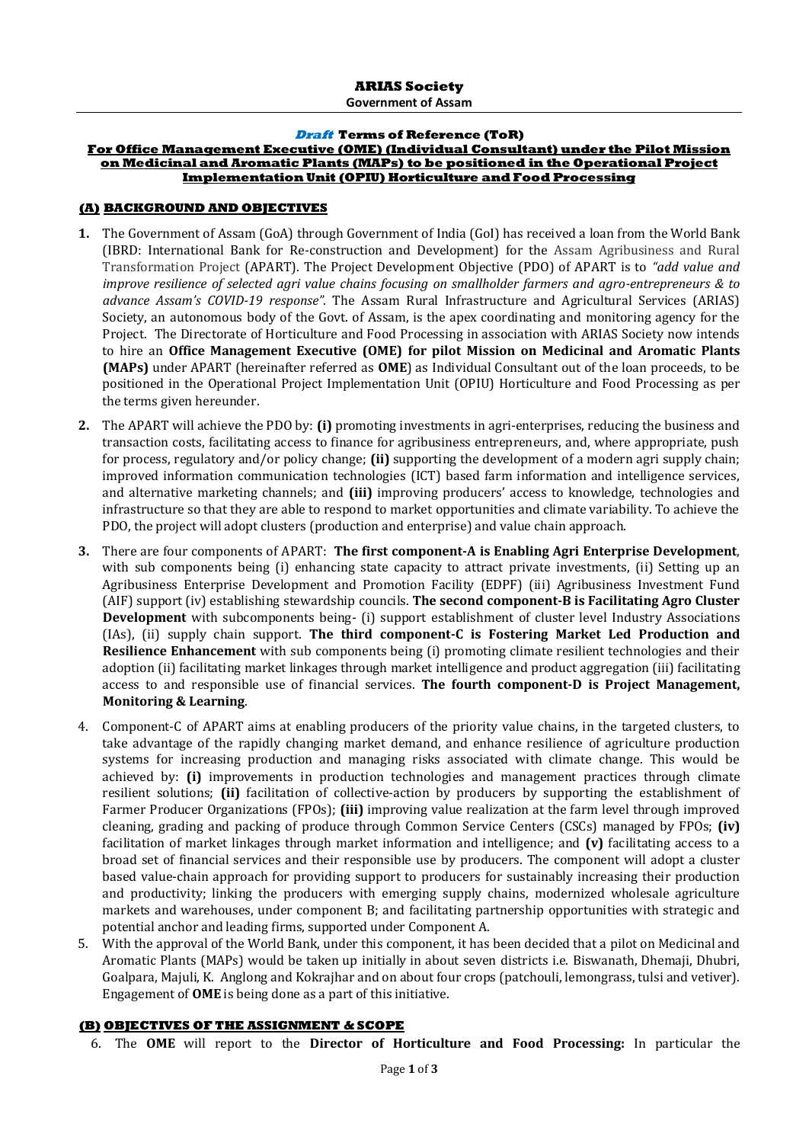**Government of Assam**

#### **Draft Terms of Reference (ToR)**

### **For Office Management Executive (OME) (Individual Consultant) under the Pilot Mission on Medicinal and Aromatic Plants (MAPs) to be positioned in the Operational Project Implementation Unit (OPIU) Horticulture and Food Processing**

#### **(A) BACKGROUND AND OBJECTIVES**

- **1.** The Government of Assam (GoA) through Government of India (GoI) has received a loan from the World Bank (IBRD: International Bank for Re-construction and Development) for the Assam Agribusiness and Rural Transformation Project (APART). The Project Development Objective (PDO) of APART is to *"add value and improve resilience of selected agri value chains focusing on smallholder farmers and agro-entrepreneurs & to advance Assam's COVID-19 response".* The Assam Rural Infrastructure and Agricultural Services (ARIAS) Society, an autonomous body of the Govt. of Assam, is the apex coordinating and monitoring agency for the Project. The Directorate of Horticulture and Food Processing in association with ARIAS Society now intends to hire an **Office Management Executive (OME) for pilot Mission on Medicinal and Aromatic Plants (MAPs)** under APART (hereinafter referred as **OME**) as Individual Consultant out of the loan proceeds, to be positioned in the Operational Project Implementation Unit (OPIU) Horticulture and Food Processing as per the terms given hereunder.
- **2.** The APART will achieve the PDO by: **(i)** promoting investments in agri-enterprises, reducing the business and transaction costs, facilitating access to finance for agribusiness entrepreneurs, and, where appropriate, push for process, regulatory and/or policy change; **(ii)** supporting the development of a modern agri supply chain; improved information communication technologies (ICT) based farm information and intelligence services, and alternative marketing channels; and **(iii)** improving producers' access to knowledge, technologies and infrastructure so that they are able to respond to market opportunities and climate variability. To achieve the PDO, the project will adopt clusters (production and enterprise) and value chain approach.
- **3.** There are four components of APART: **The first component-A is Enabling Agri Enterprise Development**, with sub components being (i) enhancing state capacity to attract private investments, (ii) Setting up an Agribusiness Enterprise Development and Promotion Facility (EDPF) (iii) Agribusiness Investment Fund (AIF) support (iv) establishing stewardship councils. **The second component-B is Facilitating Agro Cluster Development** with subcomponents being- (i) support establishment of cluster level Industry Associations (IAs), (ii) supply chain support. **The third component-C is Fostering Market Led Production and Resilience Enhancement** with sub components being (i) promoting climate resilient technologies and their adoption (ii) facilitating market linkages through market intelligence and product aggregation (iii) facilitating access to and responsible use of financial services. **The fourth component-D is Project Management, Monitoring & Learning**.
- 4. Component-C of APART aims at enabling producers of the priority value chains, in the targeted clusters, to take advantage of the rapidly changing market demand, and enhance resilience of agriculture production systems for increasing production and managing risks associated with climate change. This would be achieved by: **(i)** improvements in production technologies and management practices through climate resilient solutions; **(ii)** facilitation of collective-action by producers by supporting the establishment of Farmer Producer Organizations (FPOs); **(iii)** improving value realization at the farm level through improved cleaning, grading and packing of produce through Common Service Centers (CSCs) managed by FPOs; **(iv)** facilitation of market linkages through market information and intelligence; and **(v)** facilitating access to a broad set of financial services and their responsible use by producers. The component will adopt a cluster based value-chain approach for providing support to producers for sustainably increasing their production and productivity; linking the producers with emerging supply chains, modernized wholesale agriculture markets and warehouses, under component B; and facilitating partnership opportunities with strategic and potential anchor and leading firms, supported under Component A.
- 5. With the approval of the World Bank, under this component, it has been decided that a pilot on Medicinal and Aromatic Plants (MAPs) would be taken up initially in about seven districts i.e. Biswanath, Dhemaji, Dhubri, Goalpara, Majuli, K. Anglong and Kokrajhar and on about four crops (patchouli, lemongrass, tulsi and vetiver). Engagement of **OME** is being done as a part of this initiative.

### **(B) OBJECTIVES OF THE ASSIGNMENT & SCOPE**

6. The **OME** will report to the **Director of Horticulture and Food Processing:** In particular the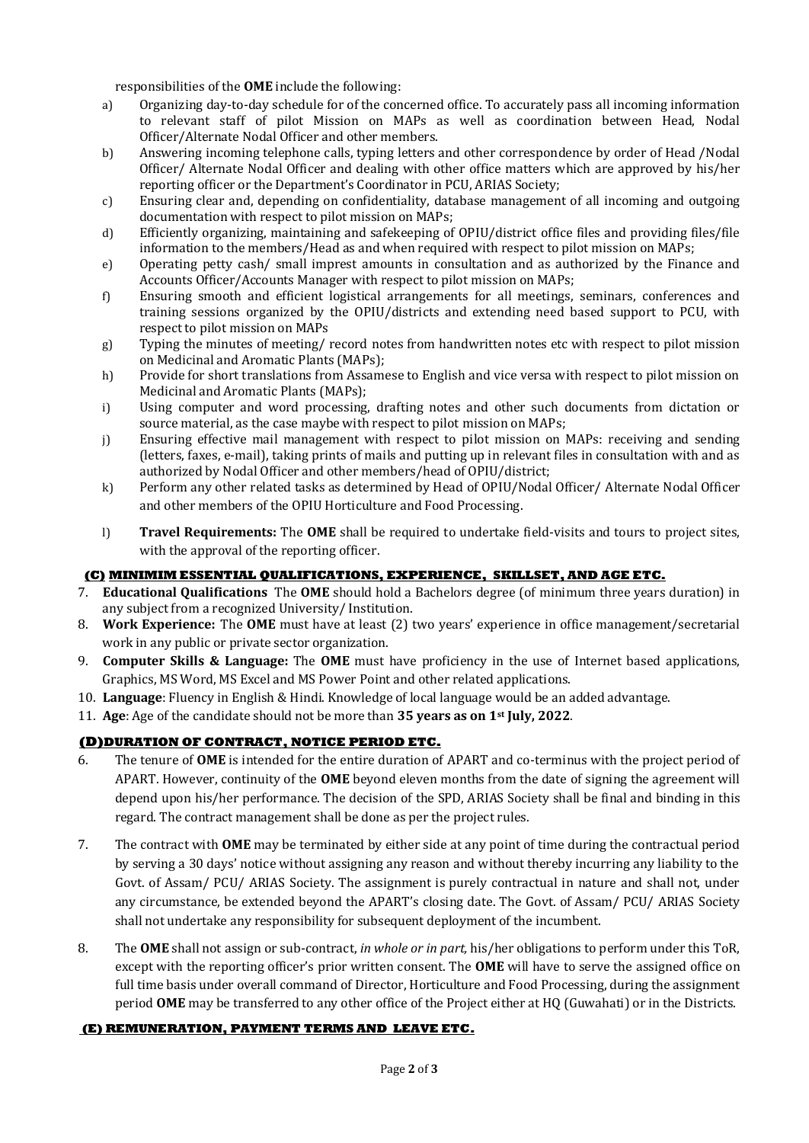responsibilities of the **OME** include the following:

- a) Organizing day-to-day schedule for of the concerned office. To accurately pass all incoming information to relevant staff of pilot Mission on MAPs as well as coordination between Head, Nodal Officer/Alternate Nodal Officer and other members.
- b) Answering incoming telephone calls, typing letters and other correspondence by order of Head /Nodal Officer/ Alternate Nodal Officer and dealing with other office matters which are approved by his/her reporting officer or the Department's Coordinator in PCU, ARIAS Society;
- c) Ensuring clear and, depending on confidentiality, database management of all incoming and outgoing documentation with respect to pilot mission on MAPs;
- d) Efficiently organizing, maintaining and safekeeping of OPIU/district office files and providing files/file information to the members/Head as and when required with respect to pilot mission on MAPs;
- e) Operating petty cash/ small imprest amounts in consultation and as authorized by the Finance and Accounts Officer/Accounts Manager with respect to pilot mission on MAPs;
- f) Ensuring smooth and efficient logistical arrangements for all meetings, seminars, conferences and training sessions organized by the OPIU/districts and extending need based support to PCU, with respect to pilot mission on MAPs
- g) Typing the minutes of meeting/ record notes from handwritten notes etc with respect to pilot mission on Medicinal and Aromatic Plants (MAPs);
- h) Provide for short translations from Assamese to English and vice versa with respect to pilot mission on Medicinal and Aromatic Plants (MAPs);
- i) Using computer and word processing, drafting notes and other such documents from dictation or source material, as the case maybe with respect to pilot mission on MAPs;
- j) Ensuring effective mail management with respect to pilot mission on MAPs: receiving and sending (letters, faxes, e-mail), taking prints of mails and putting up in relevant files in consultation with and as authorized by Nodal Officer and other members/head of OPIU/district;
- k) Perform any other related tasks as determined by Head of OPIU/Nodal Officer/ Alternate Nodal Officer and other members of the OPIU Horticulture and Food Processing.
- l) **Travel Requirements:** The **OME** shall be required to undertake field-visits and tours to project sites, with the approval of the reporting officer.

## **(C) MINIMIM ESSENTIAL QUALIFICATIONS, EXPERIENCE, SKILLSET, AND AGE ETC.**

- 7. **Educational Qualifications** The **OME** should hold a Bachelors degree (of minimum three years duration) in any subject from a recognized University/ Institution.
- 8. **Work Experience:** The **OME** must have at least (2) two years' experience in office management/secretarial work in any public or private sector organization.
- 9. **Computer Skills & Language:** The **OME** must have proficiency in the use of Internet based applications, Graphics, MS Word, MS Excel and MS Power Point and other related applications.
- 10. **Language**: Fluency in English & Hindi. Knowledge of local language would be an added advantage.
- 11. **Age**: Age of the candidate should not be more than **35 years as on 1st July, 2022**.

### **(D)DURATION OF CONTRACT, NOTICE PERIOD ETC.**

- 6. The tenure of **OME** is intended for the entire duration of APART and co-terminus with the project period of APART. However, continuity of the **OME** beyond eleven months from the date of signing the agreement will depend upon his/her performance. The decision of the SPD, ARIAS Society shall be final and binding in this regard. The contract management shall be done as per the project rules.
- 7. The contract with **OME** may be terminated by either side at any point of time during the contractual period by serving a 30 days' notice without assigning any reason and without thereby incurring any liability to the Govt. of Assam/ PCU/ ARIAS Society. The assignment is purely contractual in nature and shall not, under any circumstance, be extended beyond the APART's closing date. The Govt. of Assam/ PCU/ ARIAS Society shall not undertake any responsibility for subsequent deployment of the incumbent.
- 8. The **OME** shall not assign or sub-contract, *in whole or in part,* his/her obligations to perform under this ToR, except with the reporting officer's prior written consent. The **OME** will have to serve the assigned office on full time basis under overall command of Director, Horticulture and Food Processing, during the assignment period **OME** may be transferred to any other office of the Project either at HQ (Guwahati) or in the Districts.

### **(E) REMUNERATION, PAYMENT TERMS AND LEAVE ETC.**